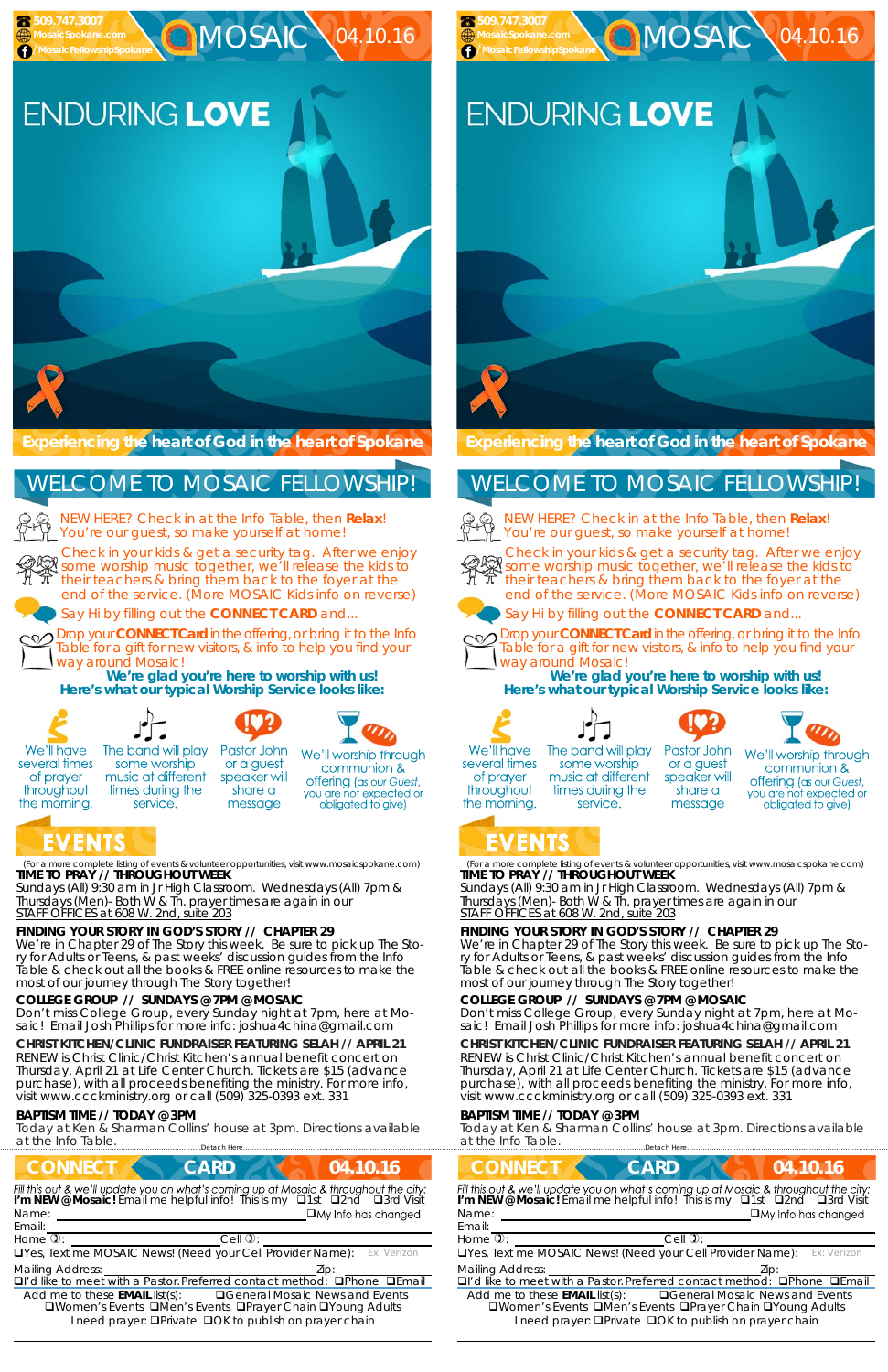(For a more complete listing of events & volunteer opportunities, visit www.mosaicspokane.com) **TIME TO PRAY // THROUGHOUT WEEK** 

*Sundays* (All) 9:30 am in Jr High Classroom. *Wednesdays* (All) 7pm & *Thursdays* (Men)- Both W & Th. prayer times are again in our *STAFF OFFICES at 608 W. 2nd, suite 203*

### **FINDING YOUR STORY IN GOD'S STORY // CHAPTER 29**

We're in Chapter 29 of The Story this week. Be sure to pick up The Story for Adults or Teens, & past weeks' discussion guides from the Info Table & check out all the books & FREE online resources to make the most of our journey through The Story together!

### **COLLEGE GROUP // SUNDAYS @ 7PM @ MOSAIC**



**MOSAIC \04.10.16** 

NEW HERE? Check in at the Info Table, then **Relax**! You're our guest, so make yourself at home!

Don't miss College Group, every Sunday night at 7pm, here at Mosaic! Email Josh Phillips for more info: joshua4china@gmail.com

### **CHRIST KITCHEN/CLINIC FUNDRAISER FEATURING SELAH // APRIL 21**

RENEW is Christ Clinic/Christ Kitchen's annual benefit concert on Thursday, April 21 at Life Center Church. Tickets are \$15 (advance purchase), with all proceeds benefiting the ministry. For more info, visit www.ccckministry.org or call (509) 325-0393 ext. 331

#### **BAPTISM TIME // TODAY @ 3PM**

Today at Ken & Sharman Collins' house at 3pm. Directions available at the Info Table.



Check in your kids & get a security tag. After we enjoy some worship music together, we'll release the kids to their teachers & bring them back to the foyer at the end of the service. (More MOSAIC Kids info on reverse)



# ENDURING LOVE

Say Hi by filling out the **CONNECT CARD** and...

Drop your **CONNECT Card** in the offering, or bring it to the Info Table for a gift for new visitors, & info to help you find your way around Mosaic!



**We're glad you're here to worship with us! Here's what our typical Worship Service looks like:** 



several times

of prayer

throughout

the morning.



Pastor John The band will play some worship or a guest music at different speaker will times during the share a service. message

We'll worship through communion & **offering** (as our Guest, you are not expected or obligated to give)

# EVENTS

### WELCOME TO MOSAIC FELLOWSHIP!

(For a more complete listing of events & volunteer opportunities, visit www.mosaicspokane.com) **TIME TO PRAY // THROUGHOUT WEEK** 

*Sundays* (All) 9:30 am in Jr High Classroom. *Wednesdays* (All) 7pm & *Thursdays* (Men)- Both W & Th. prayer times are again in our *STAFF OFFICES at 608 W. 2nd, suite 203*

#### **FINDING YOUR STORY IN GOD'S STORY // CHAPTER 29**

We're in Chapter 29 of The Story this week. Be sure to pick up The Story for Adults or Teens, & past weeks' discussion guides from the Info Table & check out all the books & FREE online resources to make the most of our journey through The Story together!

#### **COLLEGE GROUP // SUNDAYS @ 7PM @ MOSAIC**

Don't miss College Group, every Sunday night at 7pm, here at Mosaic! Email Josh Phillips for more info: joshua4china@gmail.com

#### **CHRIST KITCHEN/CLINIC FUNDRAISER FEATURING SELAH // APRIL 21**

RENEW is Christ Clinic/Christ Kitchen's annual benefit concert on Thursday, April 21 at Life Center Church. Tickets are \$15 (advance purchase), with all proceeds benefiting the ministry. For more info, visit www.ccckministry.org or call (509) 325-0393 ext. 331

#### **BAPTISM TIME // TODAY @ 3PM**

Today at Ken & Sharman Collins' house at 3pm. Directions available at the Info Table. ……………………….……………………………………………………….Detach Here……………………………………………..…………………………………

**Experiencing the heart of God in the heart of Spokane** 

NEW HERE? Check in at the Info Table, then **Relax**! You're our guest, so make yourself at home!



Check in your kids & get a security tag. After we enjoy se some worship music together, we'll release the kids to their teachers & bring them back to the foyer at the end of the service. (More MOSAIC Kids info on reverse)



Say Hi by filling out the **CONNECT CARD** and...



Drop your **CONNECT Card** in the offering, or bring it to the Info Table for a gift for new visitors, & info to help you find your way around Mosaic!

| <b>CONNECT</b>                                                                                                                                                                                         | <b>CARD</b>           | 04.10.16                   |
|--------------------------------------------------------------------------------------------------------------------------------------------------------------------------------------------------------|-----------------------|----------------------------|
| Fill this out & we'll update you on what's coming up at Mosaic & throughout the city:<br>I'm NEW @ Mosaic! Email me helpful info! This is my Q1st Q2nd Q3rd Visit<br>Name:<br>Email:                   |                       | $\Box$ My Info has changed |
| Home $\overline{v}$ :                                                                                                                                                                                  | $Cell$ $\mathbb{Q}$ : |                            |
| <b>OYes, Text me MOSAIC News! (Need your Cell Provider Name):</b> Ex: Verizon                                                                                                                          |                       |                            |
| <b>Mailing Address:</b>                                                                                                                                                                                |                       | Zip:                       |
| □I'd like to meet with a Pastor. Preferred contact method: □Phone □Email                                                                                                                               |                       |                            |
| Add me to these $EMAIL$ list(s): $\Box$ General Mosaic News and Events<br><b>QWomen's Events QMen's Events QPrayer Chain QYoung Adults</b><br>I need prayer: □ Private □ OK to publish on prayer chain |                       |                            |

**We're glad you're here to worship with us! Here's what our typical Worship Service looks like:** 









We'll have several times of prayer throughout the morning.

The band will play some worship music at different times during the service.

Pastor John or a guest speaker will share a message



# EVENTS

 **509.747.3007 MosaicSpokane.com /MosaicFellowshipSpokane**

## WELCOME TO MOSAIC FELLOWSHIP!